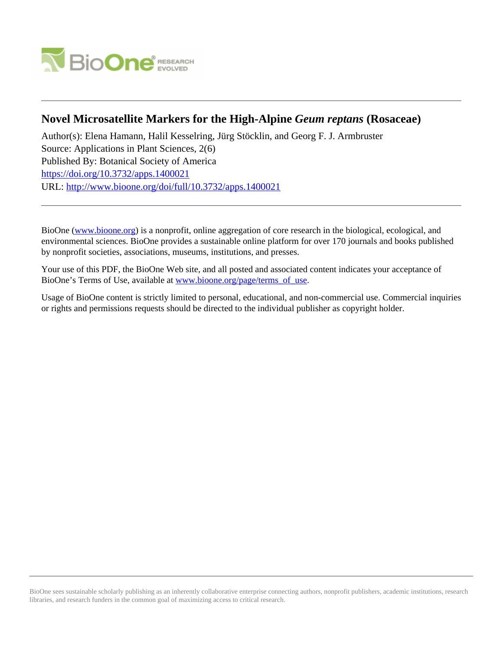

# **Novel Microsatellite Markers for the High-Alpine** *Geum reptans* **(Rosaceae)**

Author(s): Elena Hamann, Halil Kesselring, Jürg Stöcklin, and Georg F. J. Armbruster Source: Applications in Plant Sciences, 2(6) Published By: Botanical Society of America <https://doi.org/10.3732/apps.1400021> URL: <http://www.bioone.org/doi/full/10.3732/apps.1400021>

BioOne [\(www.bioone.org\)](http://www.bioone.org) is a nonprofit, online aggregation of core research in the biological, ecological, and environmental sciences. BioOne provides a sustainable online platform for over 170 journals and books published by nonprofit societies, associations, museums, institutions, and presses.

Your use of this PDF, the BioOne Web site, and all posted and associated content indicates your acceptance of BioOne's Terms of Use, available at [www.bioone.org/page/terms\\_of\\_use.](http://www.bioone.org/page/terms_of_use)

Usage of BioOne content is strictly limited to personal, educational, and non-commercial use. Commercial inquiries or rights and permissions requests should be directed to the individual publisher as copyright holder.

BioOne sees sustainable scholarly publishing as an inherently collaborative enterprise connecting authors, nonprofit publishers, academic institutions, research libraries, and research funders in the common goal of maximizing access to critical research.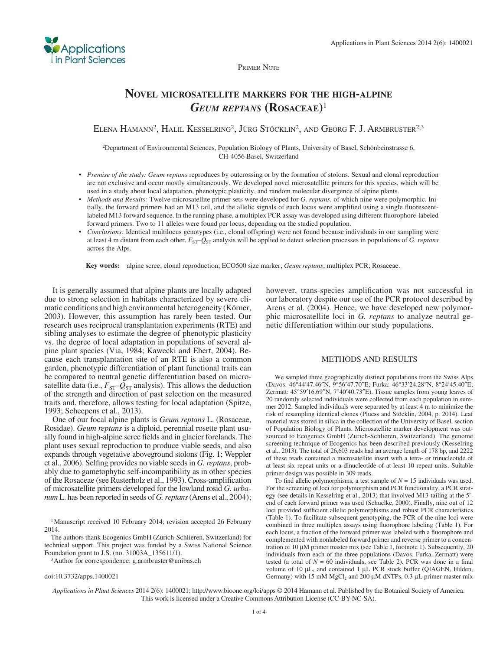

## **NOVEL MICROSATELLITE MARKERS FOR THE HIGH-ALPINE**  *GEUM REPTANS* **(ROSACEAE)** <sup>1</sup>

ELENA HAMANN<sup>2</sup>, HALIL KESSELRING<sup>2</sup>, JÜRG STÖCKLIN<sup>2</sup>, AND GEORG F. J. ARMBRUSTER<sup>2,3</sup>

2 Department of Environmental Sciences, Population Biology of Plants, University of Basel, Schönbeinstrasse 6, CH-4056 Basel, Switzerland

- *Premise of the study: Geum reptans* reproduces by outcrossing or by the formation of stolons. Sexual and clonal reproduction are not exclusive and occur mostly simultaneously. We developed novel microsatellite primers for this species, which will be used in a study about local adaptation, phenotypic plasticity, and random molecular divergence of alpine plants.
- *Methods and Results:* Twelve microsatellite primer sets were developed for *G. reptans* , of which nine were polymorphic. Initially, the forward primers had an M13 tail, and the allelic signals of each locus were amplified using a single fluorescentlabeled M13 forward sequence. In the running phase, a multiplex PCR assay was developed using different fluorophore-labeled forward primers. Two to 11 alleles were found per locus, depending on the studied population.
- *Conclusions:* Identical multilocus genotypes (i.e., clonal offspring) were not found because individuals in our sampling were at least 4 m distant from each other.  $F_{ST}$  –  $Q_{ST}$  analysis will be applied to detect selection processes in populations of *G. reptans* across the Alps.

 **Key words:** alpine scree; clonal reproduction; ECO500 size marker; *Geum reptans* ; multiplex PCR; Rosaceae .

 It is generally assumed that alpine plants are locally adapted due to strong selection in habitats characterized by severe climatic conditions and high environmental heterogeneity (Körner, 2003 ). However, this assumption has rarely been tested. Our research uses reciprocal transplantation experiments (RTE) and sibling analyses to estimate the degree of phenotypic plasticity vs. the degree of local adaptation in populations of several alpine plant species (Via, 1984; Kawecki and Ebert, 2004). Because each transplantation site of an RTE is also a common garden, phenotypic differentiation of plant functional traits can be compared to neutral genetic differentiation based on microsatellite data (i.e.,  $F_{ST}$ – $Q_{ST}$  analysis). This allows the deduction of the strength and direction of past selection on the measured traits and, therefore, allows testing for local adaptation ( Spitze, 1993; Scheepens et al., 2013).

 One of our focal alpine plants is *Geum reptans* L. (Rosaceae, Rosidae). *Geum reptans* is a diploid, perennial rosette plant usually found in high-alpine scree fields and in glacier forelands. The plant uses sexual reproduction to produce viable seeds, and also expands through vegetative aboveground stolons (Fig. 1; Weppler et al., 2006). Selfing provides no viable seeds in *G. reptans*, probably due to gametophytic self-incompatibility as in other species of the Rosaceae (see Rusterholz et al., 1993). Cross-amplification of microsatellite primers developed for the lowland rosid *G. urbanum* L. has been reported in seeds of *G. reptans* (Arens et al., 2004);

<sup>1</sup> Manuscript received 10 February 2014; revision accepted 26 February 2014.

 The authors thank Ecogenics GmbH (Zurich-Schlieren, Switzerland) for technical support. This project was funded by a Swiss National Science Foundation grant to J.S. (no. 31003A\_135611/1).

<sup>3</sup>Author for correspondence: g.armbruster@unibas.ch

**Applications** in Plant Sciences

> however, trans-species amplification was not successful in our laboratory despite our use of the PCR protocol described by Arens et al. (2004). Hence, we have developed new polymorphic microsatellite loci in *G. reptans* to analyze neutral genetic differentiation within our study populations.

#### METHODS AND RESULTS

 We sampled three geographically distinct populations from the Swiss Alps (Davos: 46°44'47.46"N, 9°56'47.70"E; Furka: 46°33'24.28"N, 8°24'45.40"E; Zermatt:  $45^{\circ}59'16.69''N$ ,  $7^{\circ}40'40.73''E$ ). Tissue samples from young leaves of 20 randomly selected individuals were collected from each population in summer 2012. Sampled individuals were separated by at least 4 m to minimize the risk of resampling identical clones (Pluess and Stöcklin, 2004, p. 2014). Leaf material was stored in silica in the collection of the University of Basel, section of Population Biology of Plants. Microsatellite marker development was outsourced to Ecogenics GmbH (Zurich-Schlieren, Switzerland). The genome screening technique of Ecogenics has been described previously (Kesselring et al., 2013 ). The total of 26,603 reads had an average length of 178 bp, and 2222 of these reads contained a microsatellite insert with a tetra- or trinucleotide of at least six repeat units or a dinucleotide of at least 10 repeat units. Suitable primer design was possible in 309 reads.

To find allelic polymorphisms, a test sample of  $N = 15$  individuals was used. For the screening of loci for polymorphism and PCR functionality, a PCR strategy (see details in Kesselring et al., 2013) that involved M13-tailing at the 5'end of each forward primer was used (Schuelke, 2000). Finally, nine out of 12 loci provided sufficient allelic polymorphisms and robust PCR characteristics (Table 1). To facilitate subsequent genotyping, the PCR of the nine loci were combined in three multiplex assays using fluorophore labeling (Table 1). For each locus, a fraction of the forward primer was labeled with a fluorophore and complemented with nonlabeled forward primer and reverse primer to a concentration of  $10 \mu$ M primer master mix (see Table 1, footnote 1). Subsequently, 20 individuals from each of the three populations (Davos, Furka, Zermatt) were tested (a total of  $N = 60$  individuals, see Table 2). PCR was done in a final volume of 10 μL, and contained 1 μL PCR stock buffer (QIAGEN, Hilden, Germany) with 15 mM  $MgCl<sub>2</sub>$  and 200  $\mu$ M dNTPs, 0.3  $\mu$ L primer master mix

*Applications in Plant Sciences* 2014 2(6): 1400021; http://www.bioone.org/loi/apps © 2014 Hamann et al. Published by the Botanical Society of America. This work is licensed under a Creative Commons Attribution License (CC-BY-NC-SA).

doi:10.3732/apps.1400021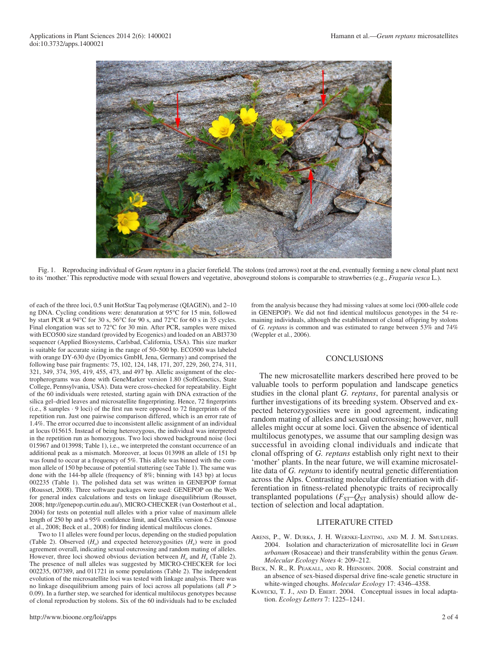

Fig. 1. Reproducing individual of *Geum reptans* in a glacier forefield. The stolons (red arrows) root at the end, eventually forming a new clonal plant next to its 'mother.' This reproductive mode with sexual flowers and vegetative, aboveground stolons is comparable to strawberries (e.g., *Fragaria vesca* L.).

of each of the three loci, 0.5 unit HotStar Taq polymerase (QIAGEN), and 2–10 ng DNA. Cycling conditions were: denaturation at 95°C for 15 min, followed by start PCR at  $94^{\circ}$ C for 30 s,  $56^{\circ}$ C for 90 s, and  $72^{\circ}$ C for 60 s in 35 cycles. Final elongation was set to 72°C for 30 min. After PCR, samples were mixed with ECO500 size standard (provided by Ecogenics) and loaded on an ABI3730 sequencer (Applied Biosystems, Carlsbad, California, USA). This size marker is suitable for accurate sizing in the range of 50–500 bp. ECO500 was labeled with orange DY -630 dye (Dyomics GmbH, Jena, Germany) and comprised the following base pair fragments: 75, 102, 124, 148, 171, 207, 229, 260, 274, 311, 321, 349, 374, 395, 419, 455, 473, and 497 bp. Allelic assignment of the electropherograms was done with GeneMarker version 1.80 (SoftGenetics, State College, Pennsylvania, USA). Data were cross-checked for repeatability. Eight of the 60 individuals were retested, starting again with DNA extraction of the silica gel-dried leaves and microsatellite fingerprinting. Hence, 72 fingerprints (i.e., 8 samples  $\cdot$  9 loci) of the first run were opposed to 72 fingerprints of the repetition run. Just one pairwise comparison differed, which is an error rate of 1.4%. The error occurred due to inconsistent allelic assignment of an individual at locus 015615. Instead of being heterozygous, the individual was interpreted in the repetition run as homozygous. Two loci showed background noise (loci 015967 and 013998; Table 1), i.e., we interpreted the constant occurrence of an additional peak as a mismatch. Moreover, at locus 013998 an allele of 151 bp was found to occur at a frequency of 5%. This allele was binned with the common allele of 150 bp because of potential stuttering (see Table 1). The same was done with the 144-bp allele (frequency of 8%; binning with 143 bp) at locus 002235 (Table 1). The polished data set was written in GENEPOP format (Rousset, 2008). Three software packages were used: GENEPOP on the Web for general index calculations and tests on linkage disequilibrium (Rousset, 2008; http://genepop.curtin.edu.au/), MICRO-CHECKER (van Oosterhout et al., 2004) for tests on potential null alleles with a prior value of maximum allele length of 250 bp and a 95% confidence limit, and GenAlEx version 6.2 (Smouse et al., 2008; Beck et al., 2008) for finding identical multilocus clones.

 Two to 11 alleles were found per locus, depending on the studied population (Table 2). Observed  $(H_0)$  and expected heterozygosities  $(H_e)$  were in good agreement overall, indicating sexual outcrossing and random mating of alleles. However, three loci showed obvious deviation between  $H_0$  and  $H_e$  (Table 2). The presence of null alleles was suggested by MICRO-CHECKER for loci 002235, 007389, and 011721 in some populations (Table 2). The independent evolution of the microsatellite loci was tested with linkage analysis. There was no linkage disequilibrium among pairs of loci across all populations (all *P* > 0.09). In a further step, we searched for identical multilocus genotypes because of clonal reproduction by stolons. Six of the 60 individuals had to be excluded

from the analysis because they had missing values at some loci (000-allele code in GENEPOP). We did not find identical multilocus genotypes in the 54 remaining individuals, although the establishment of clonal offspring by stolons of *G. reptans* is common and was estimated to range between 53% and 74% (Weppler et al., 2006).

## **CONCLUSIONS**

 The new microsatellite markers described here proved to be valuable tools to perform population and landscape genetics studies in the clonal plant *G. reptans* , for parental analysis or further investigations of its breeding system. Observed and expected heterozygosities were in good agreement, indicating random mating of alleles and sexual outcrossing; however, null alleles might occur at some loci. Given the absence of identical multilocus genotypes, we assume that our sampling design was successful in avoiding clonal individuals and indicate that clonal offspring of *G. reptans* establish only right next to their 'mother' plants. In the near future, we will examine microsatellite data of *G. reptans* to identify neutral genetic differentiation across the Alps. Contrasting molecular differentiation with differentiation in fitness-related phenotypic traits of reciprocally transplanted populations ( $F_{ST}$ - $Q_{ST}$  analysis) should allow detection of selection and local adaptation.

## LITERATURE CITED

- ARENS, P., W. DURKA, J. H. WERNKE-LENTING, AND M. J. M. SMULDERS. 2004. Isolation and characterization of microsatellite loci in Geum *urbanum* (Rosaceae) and their transferability within the genus *Geum. Molecular Ecology Notes* 4: 209-212.
- BECK, N. R., R. PEAKALL, AND R. HEINSOHN. 2008. Social constraint and an absence of sex-biased dispersal drive fine-scale genetic structure in white-winged choughs. *Molecular Ecology* 17: 4346-4358.
- KAWECKI, T. J., AND D. EBERT. 2004. Conceptual issues in local adaptation. *Ecology Letters* 7: 1225-1241.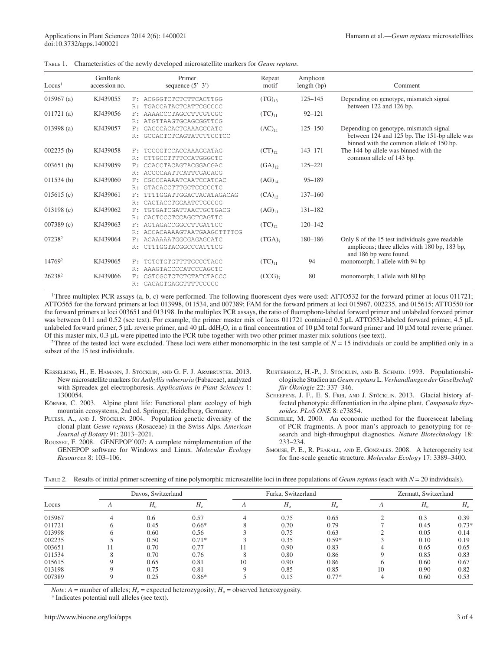|  | TABLE 1. Characteristics of the newly developed microsatellite markers for <i>Geum reptans</i> . |  |  |  |  |  |
|--|--------------------------------------------------------------------------------------------------|--|--|--|--|--|
|--|--------------------------------------------------------------------------------------------------|--|--|--|--|--|

| Locus <sup>1</sup> | GenBank<br>accession no. | Primer<br>sequence $(5'–3')$                                  | Repeat<br>motif    | Amplicon<br>length (bp) | Comment                                                                                                                             |
|--------------------|--------------------------|---------------------------------------------------------------|--------------------|-------------------------|-------------------------------------------------------------------------------------------------------------------------------------|
| $015967$ (a)       | KJ439055                 | F: ACGGGTCTCTCTTCACTTGG<br>TGACCATACTCATTCGCCCC<br>R:         | $(TG)_{13}$        | $125 - 145$             | Depending on genotype, mismatch signal<br>between 122 and 126 bp.                                                                   |
| 011721(a)          | KJ439056                 | AAAACCCTAGCCTTCGTCGC<br>F:<br>ATGTTAAGTGCAGCGGTTCG<br>R:      | $(TC)_{11}$        | $92 - 121$              |                                                                                                                                     |
| 013998(a)          | KJ439057                 | GAGCCACACTGAAAGCCATC<br>F:<br>GCCACTCTCAGTATCTTCCTCC<br>R:    | $(AC)_{11}$        | $125 - 150$             | Depending on genotype, mismatch signal<br>between 124 and 125 bp. The 151-bp allele was<br>binned with the common allele of 150 bp. |
| 002235(b)          | KJ439058                 | TCCGGTCCACCAAAGGATAG<br>F:<br>CTTGCCTTTTCCATGGGCTC<br>R:      | $(CT)_{12}$        | $143 - 171$             | The 144-bp allele was binned with the<br>common allele of 143 bp.                                                                   |
| 003651(b)          | KJ439059                 | CCACCTACAGTACGGACGAC<br>F.<br>ACCCCAATTCATTCGACACG            | $(GA)_{12}$        | $125 - 221$             |                                                                                                                                     |
| 011534(b)          | KJ439060                 | CGCCCAAAATCAATCCATCAC<br>F.<br>GTACACCTTTGCTCCCCCTC<br>R:     | $(AG)_{14}$        | $95 - 189$              |                                                                                                                                     |
| 015615(c)          | KJ439061                 | TTTTGGATTGGACTACATAGACAG<br>F:<br>CAGTACCTGGAATCTGGGGG<br>R:  | $(CA)_{12}$        | $137 - 160$             |                                                                                                                                     |
| 013198(c)          | KJ439062                 | TGTGATCGATTAACTGCTGACG<br>F:<br>R: CACTCCCTCCAGCTCAGTTC       | $(AG)_{11}$        | $131 - 182$             |                                                                                                                                     |
| 007389(c)          | KJ439063                 | AGTAGACCGGCCTTGATTCC<br>F:<br>ACCACAAAAGTAATGAAGCTTTTCG<br>R: | $(TC)_{12}$        | $120 - 142$             |                                                                                                                                     |
| 07238 <sup>2</sup> | KJ439064                 | ACAAAAATGGCGAGAGCATC<br>F:<br>R: CTTTGGTACGGCCCATTTCG         | $(TGA)_{7}$        | 180-186                 | Only 8 of the 15 test individuals gave readable<br>amplicons; three alleles with 180 bp, 183 bp,<br>and 186 bp were found.          |
| 14769 <sup>2</sup> | KJ439065                 | TGTGTGTGTTTTGCCCTAGC<br>F:<br>R: AAAGTACCCCATCCCAGCTC         | $(TC)_{11}$        | 94                      | monomorph; 1 allele with 94 bp                                                                                                      |
| 26238 <sup>2</sup> | KJ439066                 | CGTCGCTCTCTCTATCTACCC<br>F.<br>R: GAGAGTGAGGTTTTCCGGC         | (CCG) <sub>7</sub> | 80                      | monomorph; 1 allele with 80 bp                                                                                                      |

<sup>1</sup>Three multiplex PCR assays (a, b, c) were performed. The following fluorescent dyes were used: ATTO532 for the forward primer at locus 011721; ATTO565 for the forward primers at loci 013998, 011534, and 007389; FAM for the forward primers at loci 015967, 002235, and 015615; ATTO550 for the forward primers at loci 003651 and 013198. In the multiplex PCR assays, the ratio of fluorophore-labeled forward primer and unlabeled forward primer was between 0.11 and 0.52 (see text). For example, the primer master mix of locus 011721 contained 0.5 μL ATTO532-labeled forward primer, 4.5 μL unlabeled forward primer, 5 μL reverse primer, and 40 μL ddH<sub>2</sub>O, in a final concentration of 10 μM total forward primer and 10 μM total reverse primer. Of this master mix,  $0.3 \mu$ L were pipetted into the PCR tube together with two other primer master mix solutions (see text).

<sup>2</sup>Three of the tested loci were excluded. These loci were either monomorphic in the test sample of  $N = 15$  individuals or could be amplified only in a subset of the 15 test individuals.

- KESSELRING, H., E. HAMANN, J. STÖCKLIN, AND G. F. J. ARMBRUSTER. 2013. New microsatellite markers for *Anthyllis vulneraria* (Fabaceae), analyzed with Spreadex gel electrophoresis. *Applications in Plant Sciences* 1: 1300054.
- KÖRNER, C. 2003. Alpine plant life: Functional plant ecology of high mountain ecosystems, 2nd ed. Springer, Heidelberg, Germany.
- PLUESS, A., AND J. STÖCKLIN. 2004. Population genetic diversity of the clonal plant *Geum reptans* (Rosaceae) in the Swiss Alps. *American Journal of Botany* 91: 2013-2021.
- ROUSSET, F. 2008. GENEPOP'007: A complete reimplementation of the GENEPOP software for Windows and Linux. *Molecular Ecology Resources* 8: 103-106.
- RUSTERHOLZ, H.-P., J. STÖCKLIN, AND B. SCHMID. 1993. Populationsbiologische Studien an *Geum reptans* L. *Verhandlungen der Gesellschaft für Ökologie* 22: 337–346.
- SCHEEPENS, J. F., E. S. FREI, AND J. STÖCKLIN. 2013. Glacial history affected phenotypic differentiation in the alpine plant, *Campanula thyrsoides. PLoS ONE* 8 : e73854 .
- SCHUELKE, M. 2000. An economic method for the fluorescent labeling of PCR fragments. A poor man's approach to genotyping for research and high-throughput diagnostics. *Nature Biotechnology* 18 : 233-234.
- SMOUSE, P. E., R. PEAKALL, AND E. GONZALES. 2008. A heterogeneity test for fine-scale genetic structure. *Molecular Ecology* 17: 3389-3400.

TABLE 2. Results of initial primer screening of nine polymorphic microsatellite loci in three populations of *Geum reptans* (each with *N* = 20 individuals).

| Locus  | Davos, Switzerland |             |                            |    | Furka, Switzerland |             | Zermatt, Switzerland |              |         |
|--------|--------------------|-------------|----------------------------|----|--------------------|-------------|----------------------|--------------|---------|
|        |                    | $H_{\rm o}$ | $H_{\scriptscriptstyle e}$ |    | $H_{\rm o}$        | $H_{\rm e}$ |                      | $H_{\alpha}$ | $H_e$   |
| 015967 |                    | 0.6         | 0.57                       |    | 0.75               | 0.65        |                      | 0.3          | 0.39    |
| 011721 |                    | 0.45        | $0.66*$                    |    | 0.70               | 0.79        |                      | 0.45         | $0.73*$ |
| 013998 |                    | 0.60        | 0.56                       |    | 0.75               | 0.63        |                      | 0.05         | 0.14    |
| 002235 |                    | 0.50        | $0.71*$                    |    | 0.35               | $0.59*$     |                      | 0.10         | 0.19    |
| 003651 |                    | 0.70        | 0.77                       |    | 0.90               | 0.83        |                      | 0.65         | 0.65    |
| 011534 |                    | 0.70        | 0.76                       |    | 0.80               | 0.86        |                      | 0.85         | 0.83    |
| 015615 |                    | 0.65        | 0.81                       | 10 | 0.90               | 0.86        |                      | 0.60         | 0.67    |
| 013198 |                    | 0.75        | 0.81                       |    | 0.85               | 0.85        | 10                   | 0.90         | 0.82    |
| 007389 |                    | 0.25        | $0.86*$                    |    | 0.15               | $0.77*$     |                      | 0.60         | 0.53    |

*Note*:  $A =$  number of alleles;  $H_e =$  expected heterozygosity;  $H_o =$  observed heterozygosity.

\* Indicates potential null alleles (see text).